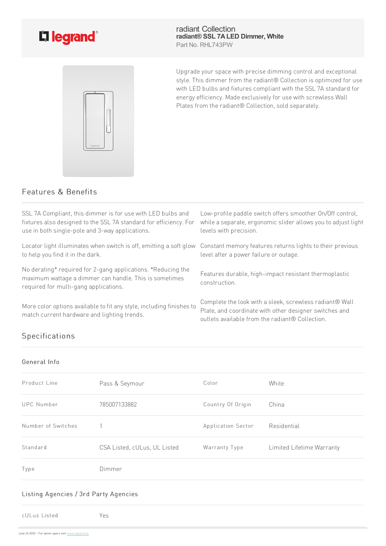

radiant Collection **radiant® SSL 7ALED Dimmer, White** Part No. RHL743PW



Upgrade your space with precise dimming control and exceptional style. This dimmer from the radiant® Collection is optimized for use with LED bulbs and fixtures compliant with the SSL 7A standard for energy efficiency. Made exclusively for use with screwless Wall Plates from the radiant® Collection, sold separately.

## Features & Benefits

SSL7A Compliant, this dimmer is for use with LED bulbs and fixtures also designed to the SSL 7A standard for efficiency. For use in both single-pole and 3-way applications. Low-profile paddle switch offers smoother On/Off control, while a separate, ergonomic slider allows you to adjust light levels with precision. Locator light illuminates when switch is off, emitting a soft glow to help you find it in the dark. Constant memory features returns lights to their previous level after a power failure or outage. No derating\* required for 2-gang applications. \*Reducing the maximum wattage a dimmer can handle. This is sometimes required for multi-gang applications. Features durable, high-impact resistant thermoplastic construction. More color options available to fit any style, including finishes to match current hardware and lighting trends. Complete the look with a sleek, screwless radiant® Wall Plate, and coordinate with other designer switches and outletsavailablefrom theradiant® Collection.

# Specifications

#### General Info

| Product Line       | Pass & Seymour               | Color              | White                     |
|--------------------|------------------------------|--------------------|---------------------------|
| <b>UPC Number</b>  | 785007133882                 | Country Of Origin  | China                     |
| Number of Switches |                              | Application Sector | Residential               |
| Standard           | CSA Listed, cULus, UL Listed | Warranty Type      | Limited Lifetime Warranty |
| Type               | Dimmer                       |                    |                           |

### Listing Agencies / 3rd Party Agencies

cULus Listed Yes